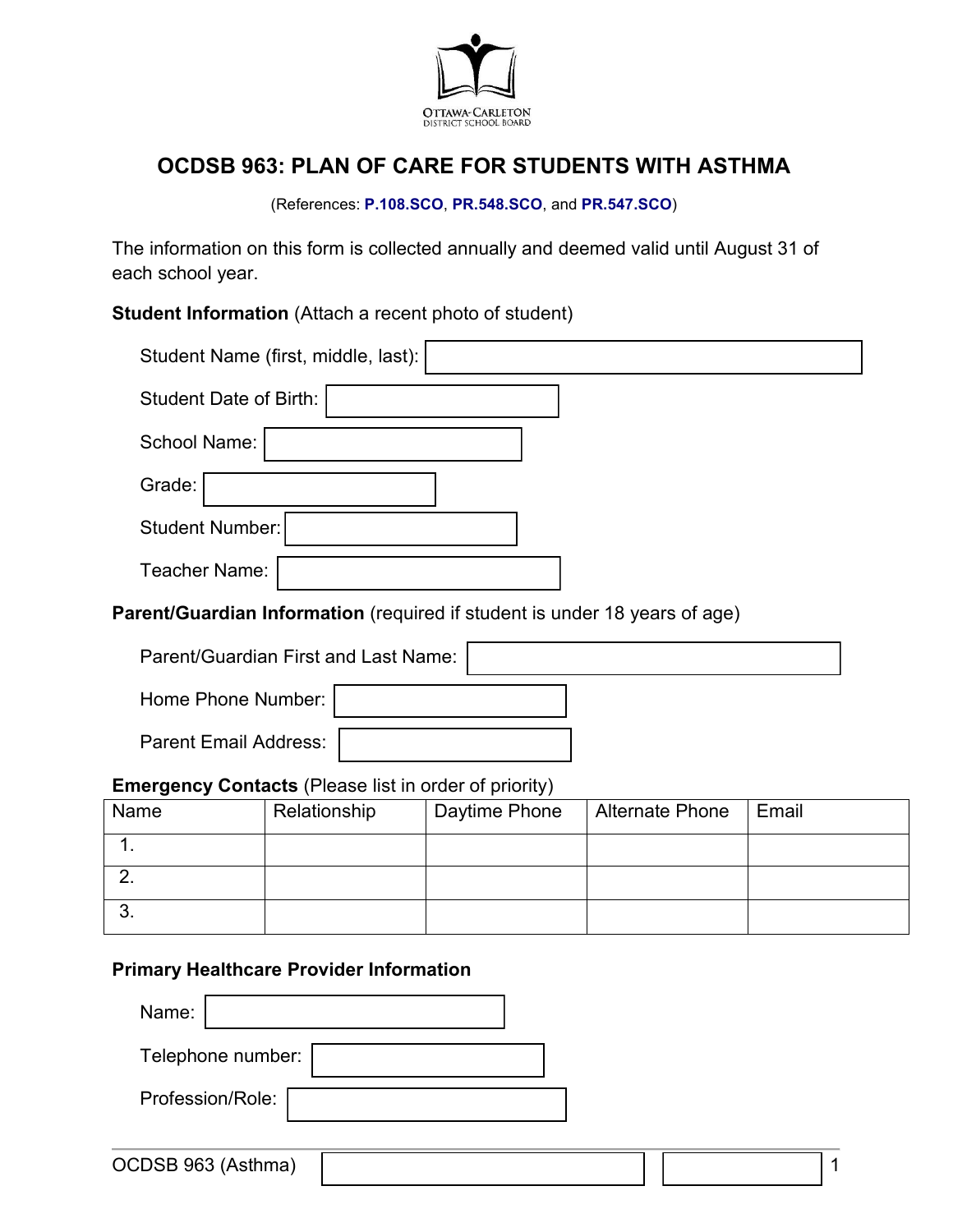

# **OCDSB 963: PLAN OF CARE FOR STUDENTS WITH ASTHMA**

#### (References: **[P.108.SCO](https://weblink.ocdsb.ca/WebLink/0/edoc/2977064/P%20108%20SCO%20-%20Care%20of%20Students%20with%20Severe,%20Life-threatening%20Medical%20Conditions.pdf)**, **[PR.548.SCO](https://weblink.ocdsb.ca/WebLink/0/edoc/2975376/PR%20547%20SCO%20-%20Providing%20Emergency%20Medical%20Care%20for%20Students.pdf)**, and **[PR.547.SCO](https://weblink.ocdsb.ca/WebLink/0/edoc/2969842/PR%20548%20SCO%20-%20Severe,%20Life%20Threatening%20Medical%20Conditions%20FINAL.pdf)**)

The information on this form is collected annually and deemed valid until August 31 of each school year.

**Student Information** (Attach a recent photo of student)

| Student Name (first, middle, last):                                        |  |  |  |
|----------------------------------------------------------------------------|--|--|--|
| <b>Student Date of Birth:</b>                                              |  |  |  |
| <b>School Name:</b>                                                        |  |  |  |
| Grade:                                                                     |  |  |  |
| <b>Student Number:</b>                                                     |  |  |  |
| Teacher Name:                                                              |  |  |  |
| Parent/Guardian Information (required if student is under 18 years of age) |  |  |  |
| Parent/Guardian First and Last Name:                                       |  |  |  |
| Home Phone Number:                                                         |  |  |  |
| <b>Parent Email Address:</b>                                               |  |  |  |

#### **Emergency Contacts** (Please list in order of priority)

| Name | Relationship | Daytime Phone | Alternate Phone | Email |
|------|--------------|---------------|-----------------|-------|
|      |              |               |                 |       |
|      |              |               |                 |       |
| ູບ.  |              |               |                 |       |

## **Primary Healthcare Provider Information**

| Name:             |  |
|-------------------|--|
| Telephone number: |  |
| Profession/Role:  |  |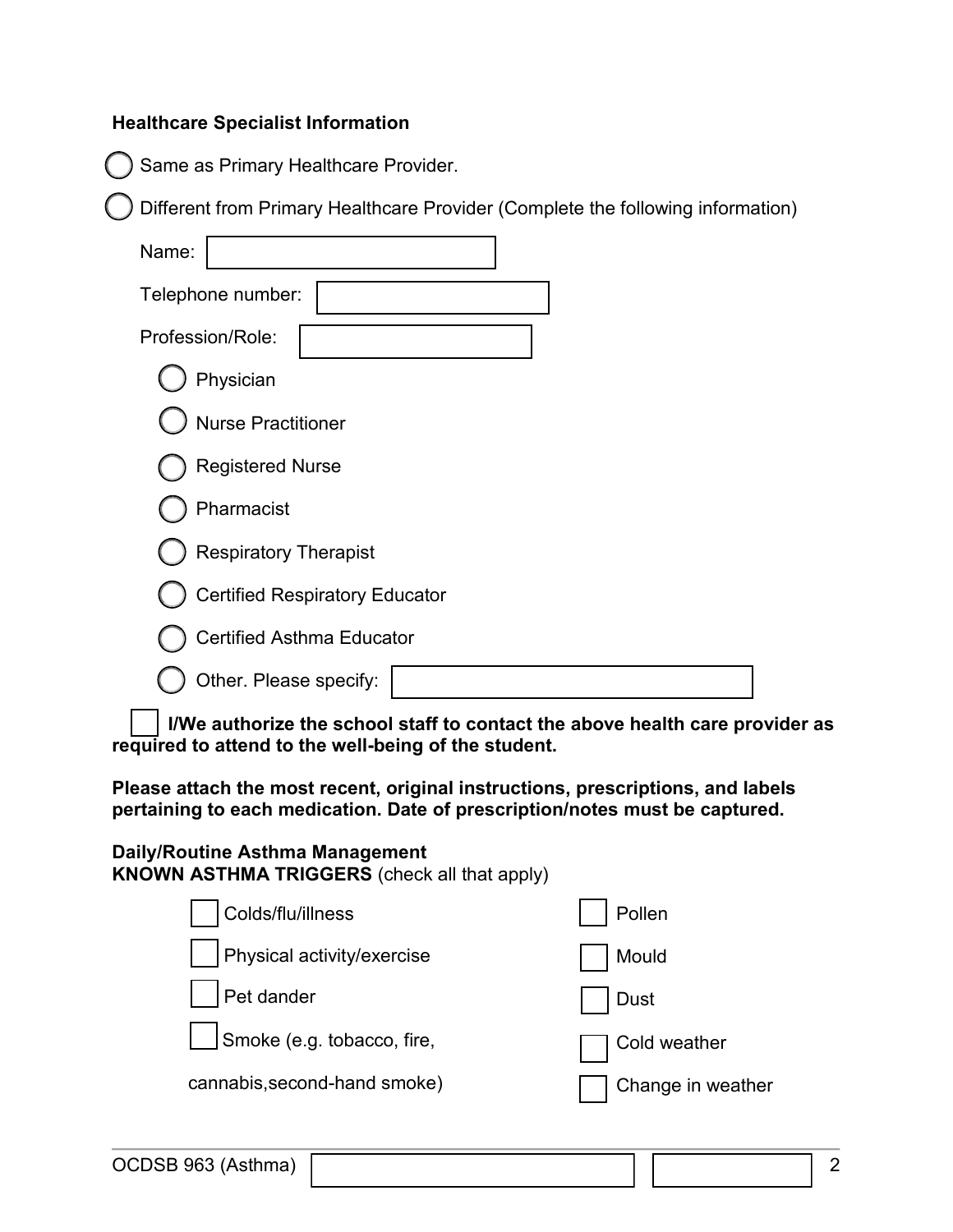#### **Healthcare Specialist Information**

Same as Primary Healthcare Provider.

Different from Primary Healthcare Provider (Complete the following information)

| Name:                                 |
|---------------------------------------|
| Telephone number:                     |
| Profession/Role:                      |
| Physician                             |
| <b>Nurse Practitioner</b>             |
| <b>Registered Nurse</b>               |
| Pharmacist                            |
| <b>Respiratory Therapist</b>          |
| <b>Certified Respiratory Educator</b> |
| <b>Certified Asthma Educator</b>      |
| Other. Please specify:                |

**I/We authorize the school staff to contact the above health care provider as required to attend to the well-being of the student.**

**Please attach the most recent, original instructions, prescriptions, and labels pertaining to each medication. Date of prescription/notes must be captured.**

**Daily/Routine Asthma Management KNOWN ASTHMA TRIGGERS** (check all that apply)

| Colds/flu/illness            | Pollen            |
|------------------------------|-------------------|
| Physical activity/exercise   | Mould             |
| Pet dander                   | <b>Dust</b>       |
| Smoke (e.g. tobacco, fire,   | Cold weather      |
| cannabis, second-hand smoke) | Change in weather |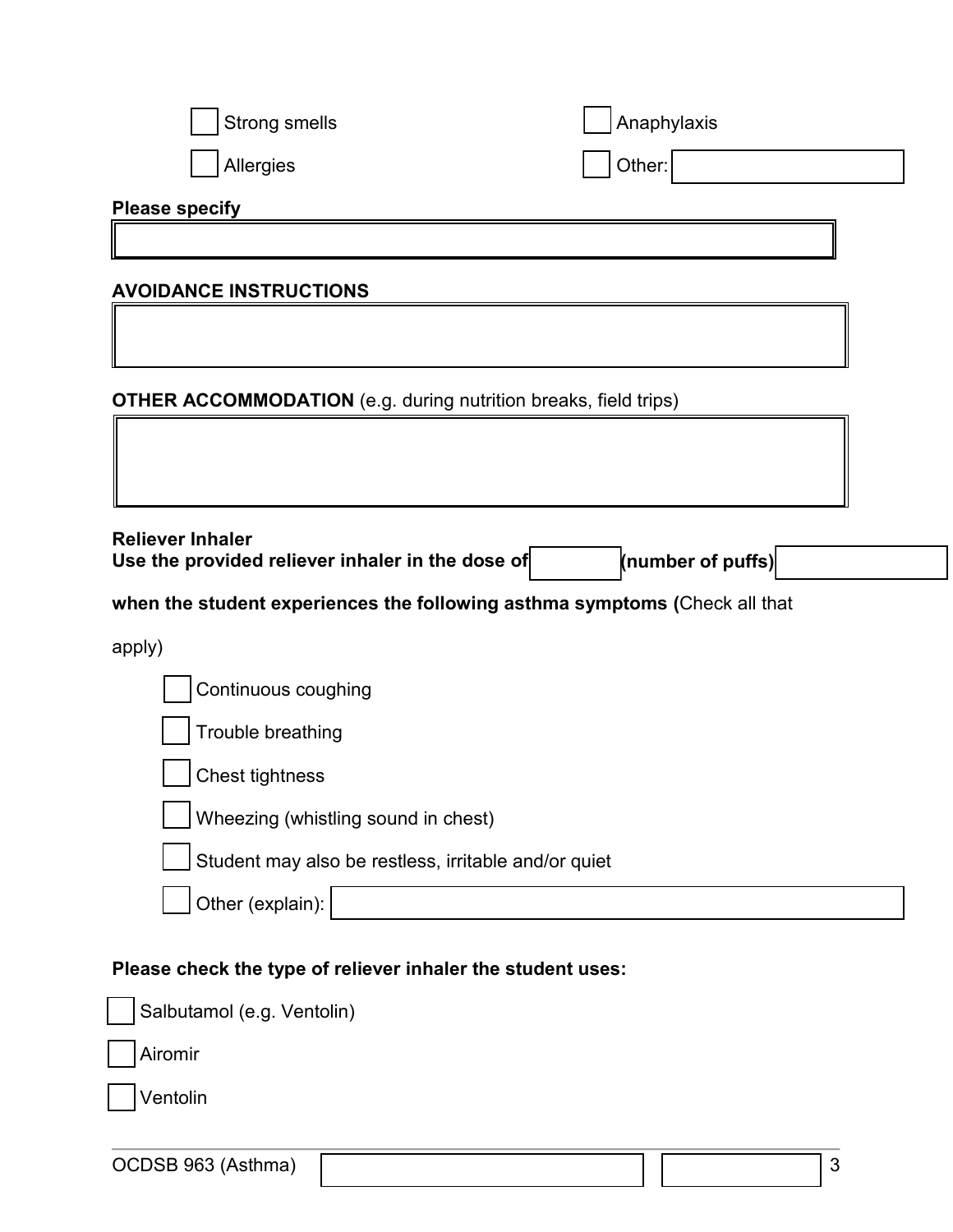| <b>Strong smells</b>                                                        | Anaphylaxis       |  |  |
|-----------------------------------------------------------------------------|-------------------|--|--|
| Allergies                                                                   | Other:            |  |  |
| <b>Please specify</b>                                                       |                   |  |  |
|                                                                             |                   |  |  |
| <b>AVOIDANCE INSTRUCTIONS</b>                                               |                   |  |  |
|                                                                             |                   |  |  |
| <b>OTHER ACCOMMODATION</b> (e.g. during nutrition breaks, field trips)      |                   |  |  |
|                                                                             |                   |  |  |
|                                                                             |                   |  |  |
| <b>Reliever Inhaler</b><br>Use the provided reliever inhaler in the dose of | (number of puffs) |  |  |
| when the student experiences the following asthma symptoms (Check all that  |                   |  |  |
| apply)                                                                      |                   |  |  |
| Continuous coughing                                                         |                   |  |  |
| Trouble breathing                                                           |                   |  |  |
| <b>Chest tightness</b>                                                      |                   |  |  |
| Wheezing (whistling sound in chest)                                         |                   |  |  |
| Student may also be restless, irritable and/or quiet                        |                   |  |  |
| Other (explain):                                                            |                   |  |  |
| Please check the type of reliever inhaler the student uses:                 |                   |  |  |
| Salbutamol (e.g. Ventolin)                                                  |                   |  |  |
| Airomir                                                                     |                   |  |  |
| Ventolin                                                                    |                   |  |  |

OCDSB 963 (Asthma) 23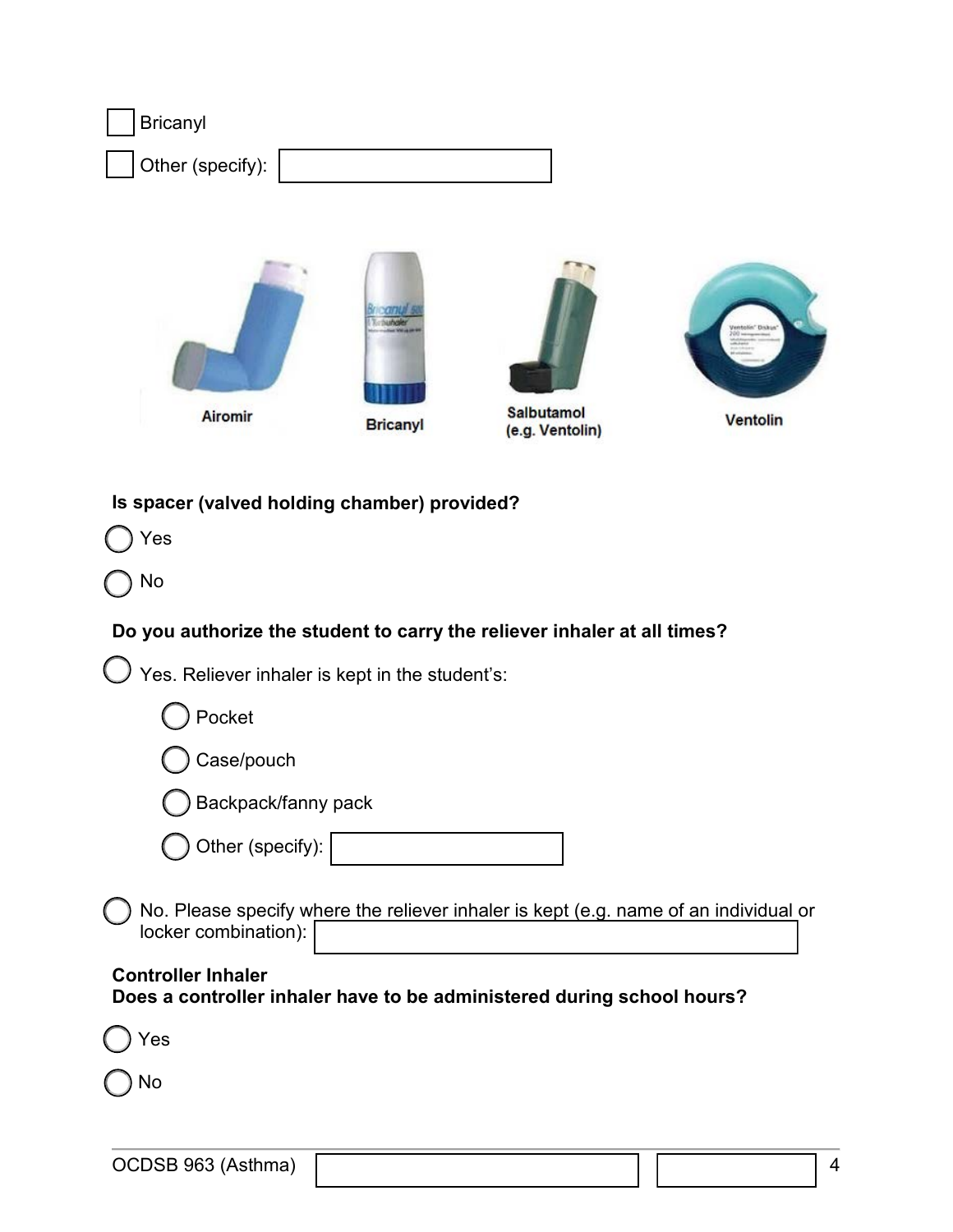| <b>Bricanyl</b>                                                          |                 |                                                                                      |          |
|--------------------------------------------------------------------------|-----------------|--------------------------------------------------------------------------------------|----------|
| Other (specify):                                                         |                 |                                                                                      |          |
| Airomir                                                                  | <b>Bricanyl</b> | <b>Salbutamol</b><br>(e.g. Ventolin)                                                 | Ventolin |
| Is spacer (valved holding chamber) provided?<br>Yes<br>No                |                 |                                                                                      |          |
| Do you authorize the student to carry the reliever inhaler at all times? |                 |                                                                                      |          |
| Yes. Reliever inhaler is kept in the student's:                          |                 |                                                                                      |          |
| Pocket                                                                   |                 |                                                                                      |          |
| Case/pouch                                                               |                 |                                                                                      |          |
| Backpack/fanny pack                                                      |                 |                                                                                      |          |
| Other (specify):                                                         |                 |                                                                                      |          |
| locker combination):                                                     |                 | No. Please specify where the reliever inhaler is kept (e.g. name of an individual or |          |

**Controller Inhaler Does a controller inhaler have to be administered during school hours?**

Yes

No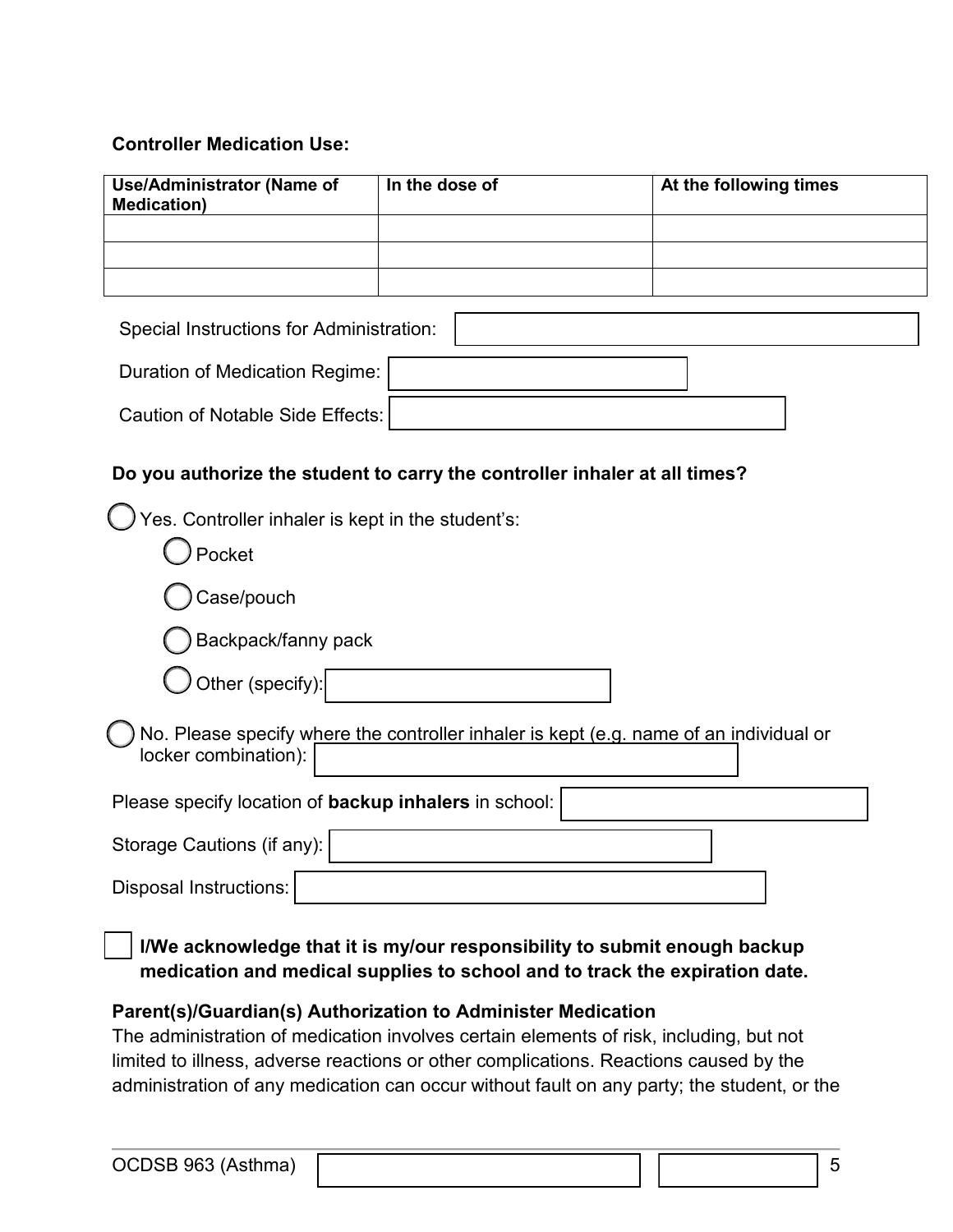#### **Controller Medication Use:**

| <b>Use/Administrator (Name of</b><br><b>Medication)</b> | In the dose of                                                                         | At the following times |
|---------------------------------------------------------|----------------------------------------------------------------------------------------|------------------------|
|                                                         |                                                                                        |                        |
|                                                         |                                                                                        |                        |
|                                                         |                                                                                        |                        |
| Special Instructions for Administration:                |                                                                                        |                        |
| <b>Duration of Medication Regime:</b>                   |                                                                                        |                        |
| <b>Caution of Notable Side Effects:</b>                 |                                                                                        |                        |
|                                                         | Do you authorize the student to carry the controller inhaler at all times?             |                        |
| Yes. Controller inhaler is kept in the student's:       |                                                                                        |                        |
| Pocket                                                  |                                                                                        |                        |
| Case/pouch                                              |                                                                                        |                        |
| Backpack/fanny pack                                     |                                                                                        |                        |
| Other (specify):                                        |                                                                                        |                        |
| locker combination):                                    | No. Please specify where the controller inhaler is kept (e.g. name of an individual or |                        |
| Please specify location of backup inhalers in school:   |                                                                                        |                        |
| Storage Cautions (if any):                              |                                                                                        |                        |
| <b>Disposal Instructions:</b>                           |                                                                                        |                        |
| INAI-<br>والتفارية والمستقلة والمستقلة والمتوارد        | 51.5154.00                                                                             |                        |

**I/We acknowledge that it is my/our responsibility to submit enough backup medication and medical supplies to school and to track the expiration date.**

# **Parent(s)/Guardian(s) Authorization to Administer Medication**

The administration of medication involves certain elements of risk, including, but not limited to illness, adverse reactions or other complications. Reactions caused by the administration of any medication can occur without fault on any party; the student, or the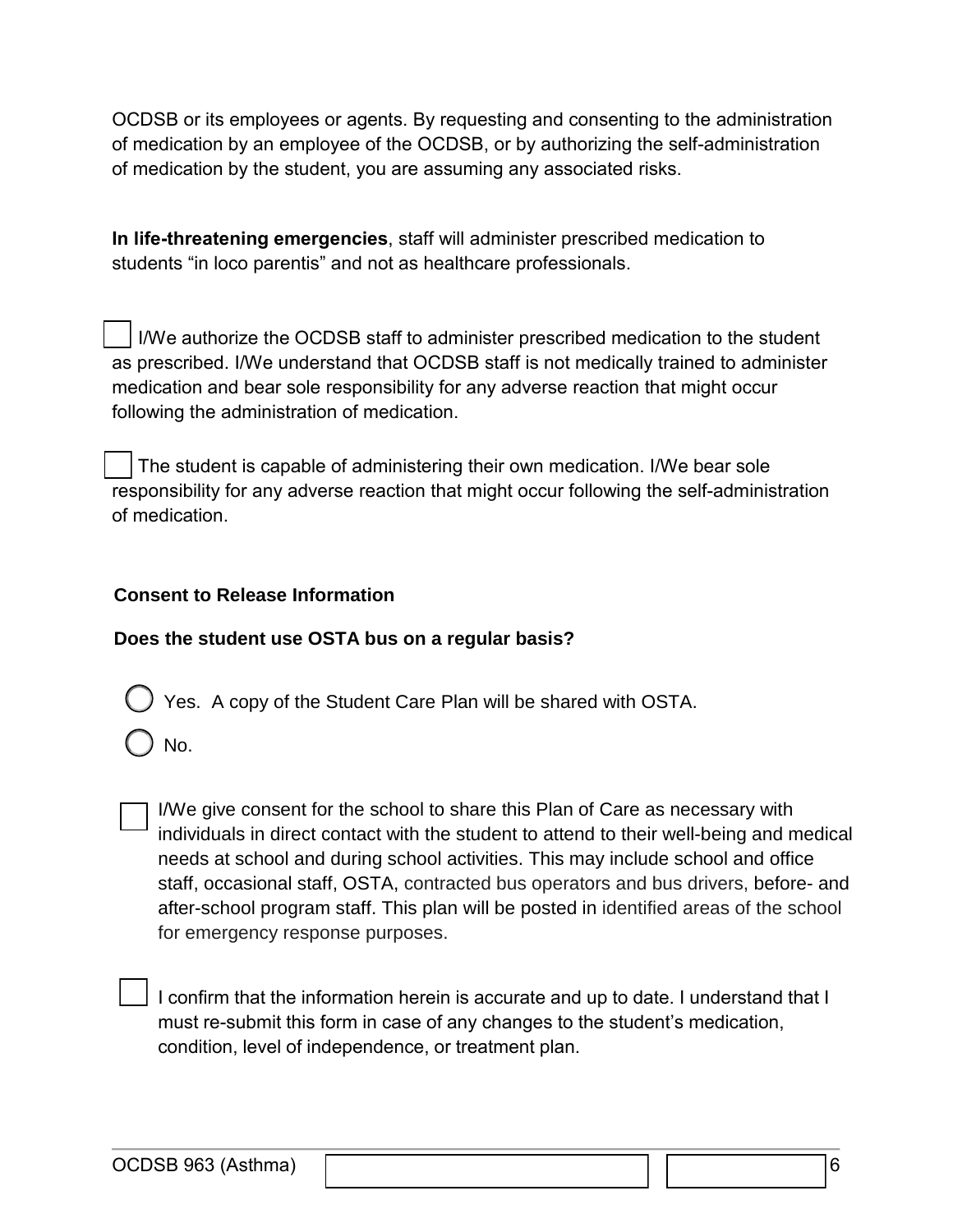OCDSB or its employees or agents. By requesting and consenting to the administration of medication by an employee of the OCDSB, or by authorizing the self-administration of medication by the student, you are assuming any associated risks.

**In life-threatening emergencies**, staff will administer prescribed medication to students "in loco parentis" and not as healthcare professionals.

 I/We authorize the OCDSB staff to administer prescribed medication to the student as prescribed. I/We understand that OCDSB staff is not medically trained to administer medication and bear sole responsibility for any adverse reaction that might occur following the administration of medication.

 The student is capable of administering their own medication. I/We bear sole responsibility for any adverse reaction that might occur following the self-administration of medication.

## **Consent to Release Information**

## **Does the student use OSTA bus on a regular basis?**

Yes. A copy of the Student Care Plan will be shared with OSTA.

No.

I/We give consent for the school to share this Plan of Care as necessary with individuals in direct contact with the student to attend to their well-being and medical needs at school and during school activities. This may include school and office staff, occasional staff, OSTA, contracted bus operators and bus drivers, before- and after-school program staff. This plan will be posted in identified areas of the school for emergency response purposes.

I confirm that the information herein is accurate and up to date. I understand that I must re-submit this form in case of any changes to the student's medication, condition, level of independence, or treatment plan.